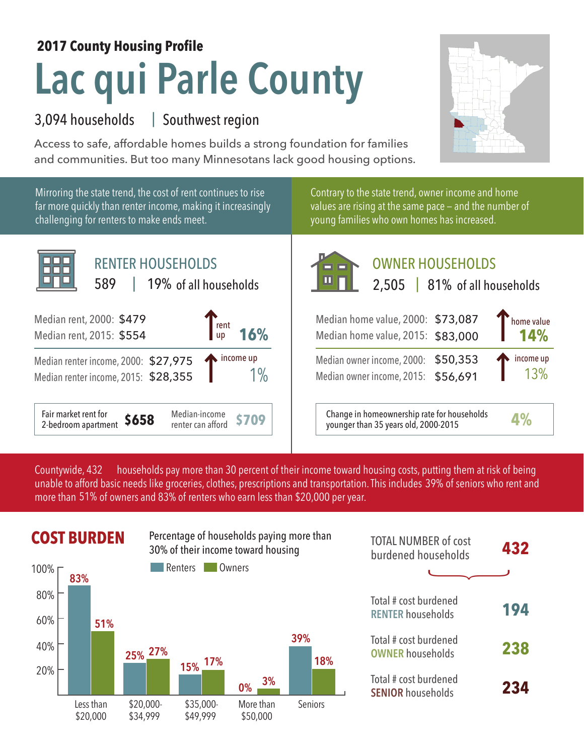## **Lac qui Parle County 2017 County Housing Profile**

## 3,094 households Southwest region |

Access to safe, affordable homes builds a strong foundation for families and communities. But too many Minnesotans lack good housing options.



Mirroring the state trend, the cost of rent continues to rise far more quickly than renter income, making it increasingly challenging for renters to make ends meet.



Contrary to the state trend, owner income and home values are rising at the same pace — and the number of young families who own homes has increased.



## OWNER HOUSEHOLDS

| $\blacksquare$ LET $\blacksquare$ $\blacksquare$ $\blacksquare$ $\blacksquare$ $\blacksquare$ $\blacksquare$ $\blacksquare$ $\blacksquare$ $\blacksquare$ $\blacksquare$ $\blacksquare$ $\blacksquare$ $\blacksquare$ $\blacksquare$ $\blacksquare$ $\blacksquare$ $\blacksquare$ $\blacksquare$ $\blacksquare$ $\blacksquare$ $\blacksquare$ $\blacksquare$ $\blacksquare$ $\blacksquare$ $\blacksquare$ $\blacksquare$ $\blacksquare$ $\blacksquare$ $\blacksquare$ $\blacksquare$ |                         |
|--------------------------------------------------------------------------------------------------------------------------------------------------------------------------------------------------------------------------------------------------------------------------------------------------------------------------------------------------------------------------------------------------------------------------------------------------------------------------------------|-------------------------|
| Median home value, 2000: $$73,087$ home value<br>Median home value. 2015: \$83,000 14%                                                                                                                                                                                                                                                                                                                                                                                               |                         |
| Median owner income, 2000: \$50,353<br>Median owner income, 2015: \$56,691                                                                                                                                                                                                                                                                                                                                                                                                           | $\int$ income up<br>13% |

**\$709** Change in homeownership rate for households younger than 35 years old, 2000-2015 **4%**

households pay more than 30 percent of their income toward housing costs, putting them at risk of being unable to afford basic needs like groceries, clothes, prescriptions and transportation. This includes 39% of seniors who rent and more than 51% of owners and 83% of renters who earn less than \$20,000 per year. Countywide, 432



| <b>TOTAL NUMBER of cost</b><br>burdened households | 432 |
|----------------------------------------------------|-----|
|                                                    |     |
| Total # cost burdened<br><b>RENTER households</b>  | 194 |
| Total # cost burdened<br><b>OWNER households</b>   | 238 |
| Total # cost burdened<br><b>SENIOR households</b>  | 234 |